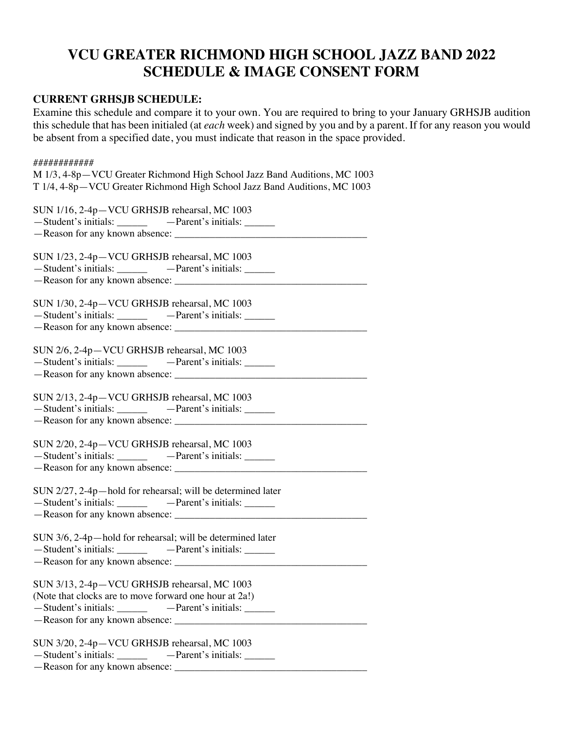## **VCU GREATER RICHMOND HIGH SCHOOL JAZZ BAND 2022 SCHEDULE & IMAGE CONSENT FORM**

## **CURRENT GRHSJB SCHEDULE:**

Examine this schedule and compare it to your own. You are required to bring to your January GRHSJB audition this schedule that has been initialed (at *each* week) and signed by you and by a parent. If for any reason you would be absent from a specified date, you must indicate that reason in the space provided.

| ############<br>M 1/3, 4-8p-VCU Greater Richmond High School Jazz Band Auditions, MC 1003<br>T 1/4, 4-8p-VCU Greater Richmond High School Jazz Band Auditions, MC 1003 |
|------------------------------------------------------------------------------------------------------------------------------------------------------------------------|
| SUN 1/16, 2-4p-VCU GRHSJB rehearsal, MC 1003<br>-Student's initials: ______________ - -Parent's initials: _______                                                      |
| SUN 1/23, 2-4p-VCU GRHSJB rehearsal, MC 1003<br>-Student's initials: ________________ - -Parent's initials: ________                                                   |
| SUN 1/30, 2-4p-VCU GRHSJB rehearsal, MC 1003<br>-Student's initials: ____________ - -Parent's initials: _______                                                        |
| SUN 2/6, 2-4p-VCU GRHSJB rehearsal, MC 1003<br>-Student's initials: ___________ -Parent's initials: ______                                                             |
| SUN 2/13, 2-4p-VCU GRHSJB rehearsal, MC 1003                                                                                                                           |
| SUN 2/20, 2-4p-VCU GRHSJB rehearsal, MC 1003<br>-Student's initials: _____________ -Parent's initials: _______                                                         |
| SUN 2/27, 2-4p-hold for rehearsal; will be determined later                                                                                                            |
| SUN 3/6, 2-4p-hold for rehearsal; will be determined later                                                                                                             |
| SUN 3/13, 2-4p-VCU GRHSJB rehearsal, MC 1003<br>(Note that clocks are to move forward one hour at 2a!)                                                                 |
| SUN 3/20, 2-4p-VCU GRHSJB rehearsal, MC 1003<br>-Student's initials: ___________ -Parent's initials: _______<br>-Reason for any known absence:                         |